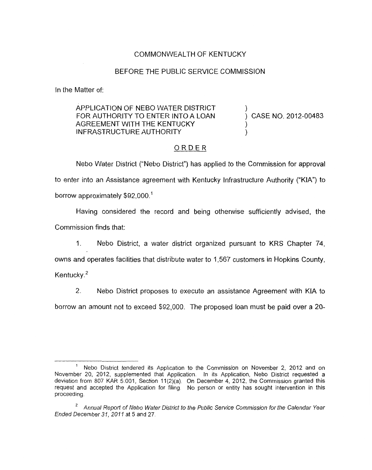## COMMONWEALTH OF KENTUCKY

## BEFORE THE PUBLIC SERVICE COMMISSION

In the Matter of:

## APPLICATION OF NEB0 WATER DISTRICT ) FOR AUTHORITY TO ENTER INTO A LOAN AGREEMENT WITH THE KENTUCKY INFRASTRUCTURE AUTHORITY

) CASE NO. 2012-00483

## \_. ORDER

Neb0 Water District ("Nebo District") has applied to the Commission for approval to enter into an Assistance agreement with Kentucky Infrastructure Authority ("KIA") to borrow approximately \$92,000.'

Having considered the record and being otherwise sufficiently advised, the Commission finds that:

1. Neb0 District, a water district organized pursuant to KRS Chapter 74,

owns and operates facilities that distribute water to 1,567 customers in Hopkins County, Kentucky. $2$ 

2. Neb0 District proposes to execute an assistance Agreement with KIA to borrow an amount not to exceed \$92,000. The proposed loan must be paid over a 20-

Neb0 District tendered its Application to the Commission on November 2, 2012 and on November 20, 2012, supplemented that Application. In its Application, Nebo District requested a deviation from 807 KAR 5.001, Section 11(2)(a). On December 4, 2012, the Commission granted this request and accepted the Application for filing. No person or entity has sought intervention in this proceeding **1** 

<sup>&</sup>lt;sup>2</sup> Annual Report of Nebo Water District to the Public Service Commission for the Calendar Year *Ended December 31, 201 1 at 5* and 27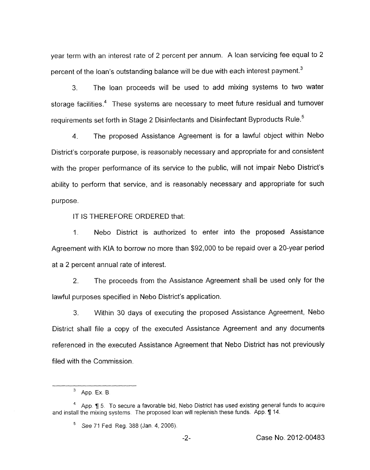year term with an interest rate of 2 percent per annum. A loan servicing fee equal to 2 percent of the loan's outstanding balance will be due with each interest payment. $^3$ 

*3.* The loan proceeds will be used to add mixing systems to two water storage facilities.<sup>4</sup> These systems are necessary to meet future residual and turnover requirements set forth in Stage 2 Disinfectants and Disinfectant Byproducts Rule.'

4. The proposed Assistance Agreement is for a lawful object within Neb0 District's corporate purpose, *is* reasonably necessary and appropriate for and consistent with the proper performance of its service to the public, will not impair Nebo District's ability to perform that service, and is reasonably necessary and appropriate for such purpose.

IT IS THEREFORE ORDERED that:

1. Nebo District is authorized to enter into the proposed Assistance Agreement with KIA to borrow no more than \$92,000 to be repaid over a 20-year period at a 2 percent annual rate of interest.

2. The proceeds from the Assistance Agreement shall be used only for the lawful purposes specified in Nebo District's application.

*3.* Within 30 days of executing the proposed Assistance Agreement, Neb0 District shall file a copy of the executed Assistance Agreement and any documents referenced in the executed Assistance Agreement that Nebo District has not previously filed with the Commission.

<sup>&</sup>lt;sup>3</sup> App. Ex. B.

<sup>&</sup>lt;sup>4</sup> App. 1 5. To secure a favorable bid, Nebo District has used existing general funds to acquire and install the mixing systems. The proposed loan will replenish these funds. App. 114.

See 71 Fed Reg. 388 (Jan 4,2006). **<sup>5</sup>**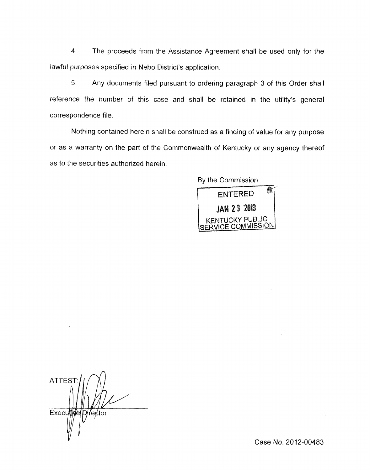4. The proceeds from the Assistance Agreement shall be used only for the lawful purposes specified in Nebo District's application.

*5.* Any documents filed pursuant to ordering paragraph 3 of this Order shall reference the number of this case and shall be retained in the utility's general correspondence file

Nothing contained herein shall be construed as a finding of value for any purpose or as a warranty on the part of the Commonwealth of Kentucky or any agency thereof as to the securities authorized herein.

By the Commission



**ATTEST** Executive D∤fe¢tor

Case **No.** 2012-00483